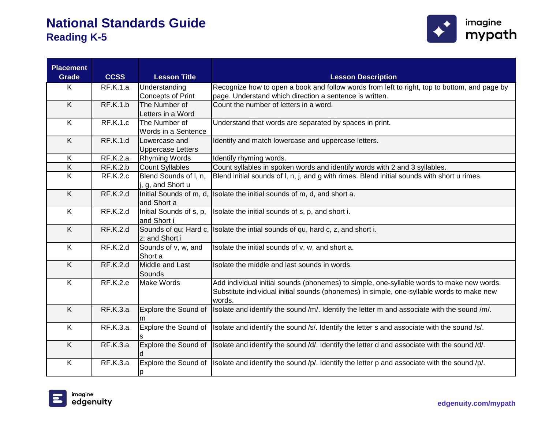

| <b>Placement</b><br><b>Grade</b> | <b>CCSS</b>     | <b>Lesson Title</b>      | <b>Lesson Description</b>                                                                                        |
|----------------------------------|-----------------|--------------------------|------------------------------------------------------------------------------------------------------------------|
| K                                | <b>RF.K.1.a</b> | Understanding            | Recognize how to open a book and follow words from left to right, top to bottom, and page by                     |
|                                  |                 | <b>Concepts of Print</b> | page. Understand which direction a sentence is written.                                                          |
| K                                | <b>RF.K.1.b</b> | The Number of            | Count the number of letters in a word.                                                                           |
|                                  |                 | Letters in a Word        |                                                                                                                  |
| $\overline{\mathsf{K}}$          | <b>RF.K.1.c</b> | The Number of            | Understand that words are separated by spaces in print.                                                          |
|                                  |                 | Words in a Sentence      |                                                                                                                  |
| K                                | <b>RF.K.1.d</b> | Lowercase and            | Identify and match lowercase and uppercase letters.                                                              |
|                                  |                 | <b>Uppercase Letters</b> |                                                                                                                  |
| $\overline{\mathsf{K}}$          | RF.K.2.a        | Rhyming Words            | Identify rhyming words.                                                                                          |
| $\overline{K}$                   | <b>RF.K.2.b</b> | <b>Count Syllables</b>   | Count syllables in spoken words and identify words with 2 and 3 syllables.                                       |
| K                                | <b>RF.K.2.c</b> | Blend Sounds of I, n,    | Blend initial sounds of I, n, j, and g with rimes. Blend initial sounds with short u rimes.                      |
|                                  |                 | j, g, and Short u        |                                                                                                                  |
| $\overline{K}$                   | RF.K.2.d        | Initial Sounds of m, d,  | Isolate the initial sounds of m, d, and short a.                                                                 |
|                                  |                 | and Short a              |                                                                                                                  |
| K                                | <b>RF.K.2.d</b> | Initial Sounds of s, p,  | Isolate the initial sounds of s, p, and short i.                                                                 |
|                                  |                 | and Short i              |                                                                                                                  |
| $\overline{K}$                   | RF.K.2.d        | Sounds of qu; Hard c,    | Isolate the intial sounds of qu, hard c, z, and short i.                                                         |
|                                  |                 | z; and Short i           |                                                                                                                  |
| K                                | <b>RF.K.2.d</b> | Sounds of v, w, and      | Isolate the initial sounds of v, w, and short a.                                                                 |
|                                  |                 | Short a                  |                                                                                                                  |
| $\overline{K}$                   | <b>RF.K.2.d</b> | Middle and Last          | Isolate the middle and last sounds in words.                                                                     |
|                                  |                 | Sounds                   |                                                                                                                  |
| K                                | <b>RF.K.2.e</b> | Make Words               | Add individual initial sounds (phonemes) to simple, one-syllable words to make new words.                        |
|                                  |                 |                          | Substitute individual initial sounds (phonemes) in simple, one-syllable words to make new                        |
| $\overline{K}$                   |                 |                          | words.                                                                                                           |
|                                  | RF.K.3.a        | Explore the Sound of     | Isolate and identify the sound /m/. Identify the letter m and associate with the sound /m/.                      |
| K                                | RF.K.3.a        |                          |                                                                                                                  |
|                                  |                 |                          | Explore the Sound of Isolate and identify the sound /s/. Identify the letter s and associate with the sound /s/. |
| K                                | RF.K.3.a        | Explore the Sound of     | Isolate and identify the sound /d/. Identify the letter d and associate with the sound /d/.                      |
|                                  |                 |                          |                                                                                                                  |
| K                                | <b>RF.K.3.a</b> |                          | Explore the Sound of Isolate and identify the sound /p/. Identify the letter p and associate with the sound /p/. |
|                                  |                 | D                        |                                                                                                                  |

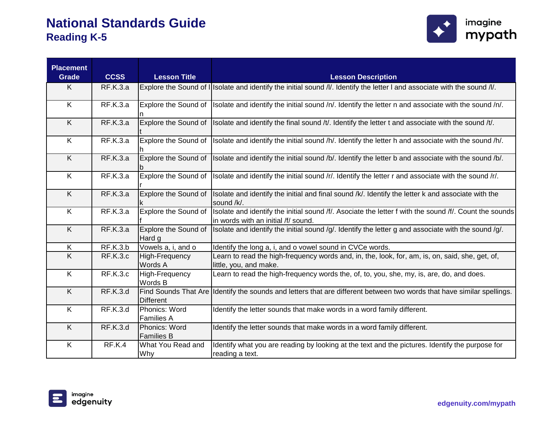

| <b>Placement</b><br><b>Grade</b> | <b>CCSS</b>     | <b>Lesson Title</b>                | <b>Lesson Description</b>                                                                                                                     |
|----------------------------------|-----------------|------------------------------------|-----------------------------------------------------------------------------------------------------------------------------------------------|
| K                                | <b>RF.K.3.a</b> |                                    | Explore the Sound of I Isolate and identify the initial sound /l/. Identify the letter I and associate with the sound /l/.                    |
| K                                | RF.K.3.a        |                                    | Explore the Sound of Isolate and identify the initial sound /n/. Identify the letter n and associate with the sound /n/.                      |
| K                                | RF.K.3.a        | <b>Explore the Sound of</b>        | Isolate and identify the final sound /t/. Identify the letter t and associate with the sound /t/.                                             |
| K                                | RF.K.3.a        | Explore the Sound of               | Isolate and identify the initial sound /h/. Identify the letter h and associate with the sound /h/.                                           |
| K                                | RF.K.3.a        | Explore the Sound of               | Isolate and identify the initial sound /b/. Identify the letter b and associate with the sound /b/.                                           |
| $\overline{\mathsf{K}}$          | <b>RF.K.3.a</b> | Explore the Sound of               | Isolate and identify the initial sound /r/. Identify the letter r and associate with the sound /r/.                                           |
| $\overline{K}$                   | RF.K.3.a        | Explore the Sound of               | Isolate and identify the initial and final sound /k/. Identify the letter k and associate with the<br>sound /k/.                              |
| K                                | RF.K.3.a        | Explore the Sound of               | Isolate and identify the initial sound /f/. Asociate the letter f with the sound /f/. Count the sounds<br>in words with an initial /f/ sound. |
| K                                | <b>RF.K.3.a</b> | Explore the Sound of<br>Hard g     | Isolate and identify the initial sound $q/$ . Identify the letter g and associate with the sound $q/$ .                                       |
| K                                | <b>RF.K.3.b</b> | Vowels a, i, and o                 | Identify the long a, i, and o vowel sound in CVCe words.                                                                                      |
| $\sf K$                          | <b>RF.K.3.c</b> | High-Frequency<br>Words A          | Learn to read the high-frequency words and, in, the, look, for, am, is, on, said, she, get, of,<br>little, you, and make.                     |
| K                                | RF.K.3.c        | High-Frequency<br>Words B          | Learn to read the high-frequency words the, of, to, you, she, my, is, are, do, and does.                                                      |
| K                                | <b>RF.K.3.d</b> | <b>Different</b>                   | Find Sounds That Are Identify the sounds and letters that are different between two words that have similar spellings.                        |
| K                                | <b>RF.K.3.d</b> | Phonics: Word<br><b>Families A</b> | Identify the letter sounds that make words in a word family different.                                                                        |
| K                                | <b>RF.K.3.d</b> | Phonics: Word<br><b>Families B</b> | Identify the letter sounds that make words in a word family different.                                                                        |
| K                                | RF.K.4          | What You Read and<br>Why           | Identify what you are reading by looking at the text and the pictures. Identify the purpose for<br>reading a text.                            |

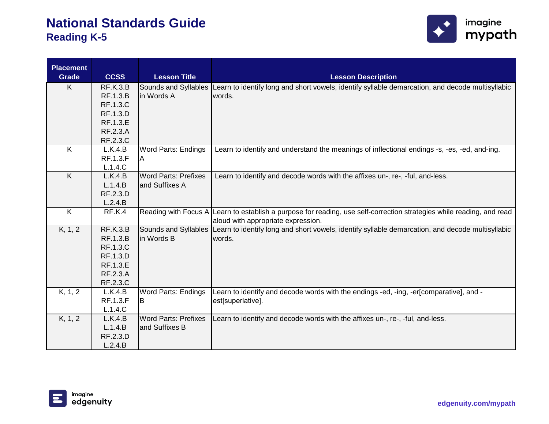

| <b>Placement</b>        |                 |                             |                                                                                                                       |
|-------------------------|-----------------|-----------------------------|-----------------------------------------------------------------------------------------------------------------------|
| <b>Grade</b>            | <b>CCSS</b>     | <b>Lesson Title</b>         | <b>Lesson Description</b>                                                                                             |
| K                       | <b>RF.K.3.B</b> | Sounds and Syllables        | Learn to identify long and short vowels, identify syllable demarcation, and decode multisyllabic                      |
|                         | RF.1.3.B        | in Words A                  | words.                                                                                                                |
|                         | <b>RF.1.3.C</b> |                             |                                                                                                                       |
|                         | RF.1.3.D        |                             |                                                                                                                       |
|                         | RF.1.3.E        |                             |                                                                                                                       |
|                         | RF.2.3.A        |                             |                                                                                                                       |
|                         | RF.2.3.C        |                             |                                                                                                                       |
| K                       | L.K.4.B         | <b>Word Parts: Endings</b>  | Learn to identify and understand the meanings of inflectional endings -s, -es, -ed, and-ing.                          |
|                         | <b>RF.1.3.F</b> | IA.                         |                                                                                                                       |
|                         | L.1.4.C         |                             |                                                                                                                       |
| K                       | L.K.4.B         | <b>Word Parts: Prefixes</b> | Learn to identify and decode words with the affixes un-, re-, -ful, and-less.                                         |
|                         | L.1.4.B         | and Suffixes A              |                                                                                                                       |
|                         | RF.2.3.D        |                             |                                                                                                                       |
|                         | L.2.4.B         |                             |                                                                                                                       |
| $\overline{\mathsf{K}}$ | RF.K.4          |                             | Reading with Focus A Learn to establish a purpose for reading, use self-correction strategies while reading, and read |
|                         |                 |                             | aloud with appropriate expression.                                                                                    |
| K, 1, 2                 | RF.K.3.B        | Sounds and Syllables        | Learn to identify long and short vowels, identify syllable demarcation, and decode multisyllabic                      |
|                         | RF.1.3.B        | in Words B                  | words.                                                                                                                |
|                         | <b>RF.1.3.C</b> |                             |                                                                                                                       |
|                         | RF.1.3.D        |                             |                                                                                                                       |
|                         | RF.1.3.E        |                             |                                                                                                                       |
|                         | RF.2.3.A        |                             |                                                                                                                       |
|                         | RF.2.3.C        |                             |                                                                                                                       |
| K, 1, 2                 | L.K.4.B         | <b>Word Parts: Endings</b>  | Learn to identify and decode words with the endings -ed, -ing, -er[comparative], and -                                |
|                         | <b>RF.1.3.F</b> | IΒ                          | est[superlative].                                                                                                     |
|                         | L.1.4.C         |                             |                                                                                                                       |
| K, 1, 2                 | L.K.4.B         | <b>Word Parts: Prefixes</b> | Learn to identify and decode words with the affixes un-, re-, -ful, and-less.                                         |
|                         | L.1.4.B         | and Suffixes B              |                                                                                                                       |
|                         | RF.2.3.D        |                             |                                                                                                                       |
|                         | L.2.4.B         |                             |                                                                                                                       |

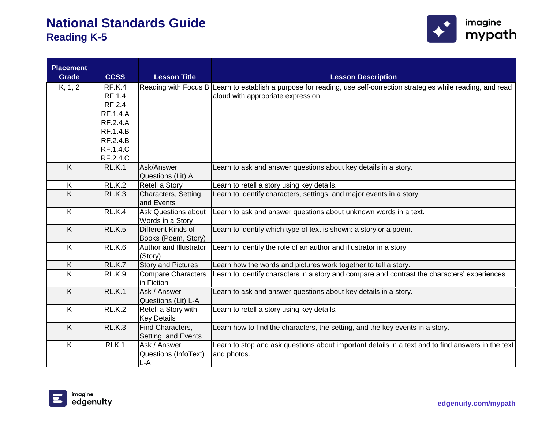

| <b>Placement</b>        |                 |                           |                                                                                                                       |
|-------------------------|-----------------|---------------------------|-----------------------------------------------------------------------------------------------------------------------|
| <b>Grade</b>            | <b>CCSS</b>     | <b>Lesson Title</b>       | <b>Lesson Description</b>                                                                                             |
| K, 1, 2                 | RF.K.4          |                           | Reading with Focus B Learn to establish a purpose for reading, use self-correction strategies while reading, and read |
|                         | RF.1.4          |                           | aloud with appropriate expression.                                                                                    |
|                         | RF.2.4          |                           |                                                                                                                       |
|                         | <b>RF.1.4.A</b> |                           |                                                                                                                       |
|                         | RF.2.4.A        |                           |                                                                                                                       |
|                         | <b>RF.1.4.B</b> |                           |                                                                                                                       |
|                         | RF.2.4.B        |                           |                                                                                                                       |
|                         | <b>RF.1.4.C</b> |                           |                                                                                                                       |
|                         | RF.2.4.C        |                           |                                                                                                                       |
| K                       | <b>RL.K.1</b>   | Ask/Answer                | Learn to ask and answer questions about key details in a story.                                                       |
|                         |                 | Questions (Lit) A         |                                                                                                                       |
| K                       | RLK.2           | Retell a Story            | Learn to retell a story using key details.                                                                            |
| $\overline{K}$          | <b>RL.K.3</b>   | Characters, Setting,      | Learn to identify characters, settings, and major events in a story.                                                  |
|                         |                 | and Events                |                                                                                                                       |
| K                       | <b>RL.K.4</b>   | Ask Questions about       | Learn to ask and answer questions about unknown words in a text.                                                      |
|                         |                 | Words in a Story          |                                                                                                                       |
| K                       | <b>RL.K.5</b>   | Different Kinds of        | Learn to identify which type of text is shown: a story or a poem.                                                     |
|                         |                 | Books (Poem, Story)       |                                                                                                                       |
| K                       | RL.K.6          | Author and Illustrator    | Learn to identify the role of an author and illustrator in a story.                                                   |
|                         |                 | (Story)                   |                                                                                                                       |
| K.                      | RL.K.7          | <b>Story and Pictures</b> | Learn how the words and pictures work together to tell a story.                                                       |
| $\overline{\mathsf{K}}$ | <b>RL.K.9</b>   | <b>Compare Characters</b> | Learn to identify characters in a story and compare and contrast the characters' experiences.                         |
|                         |                 | in Fiction                |                                                                                                                       |
| $\overline{K}$          | <b>RL.K.1</b>   | Ask / Answer              | Learn to ask and answer questions about key details in a story.                                                       |
|                         |                 | Questions (Lit) L-A       |                                                                                                                       |
| K                       | <b>RL.K.2</b>   | Retell a Story with       | Learn to retell a story using key details.                                                                            |
|                         |                 | <b>Key Details</b>        |                                                                                                                       |
| $\overline{K}$          | RL.K.3          | Find Characters,          | Learn how to find the characters, the setting, and the key events in a story.                                         |
|                         |                 | Setting, and Events       |                                                                                                                       |
| K                       | <b>RI.K.1</b>   | Ask / Answer              | Learn to stop and ask questions about important details in a text and to find answers in the text                     |
|                         |                 | Questions (InfoText)      | and photos.                                                                                                           |
|                         |                 | L-A                       |                                                                                                                       |

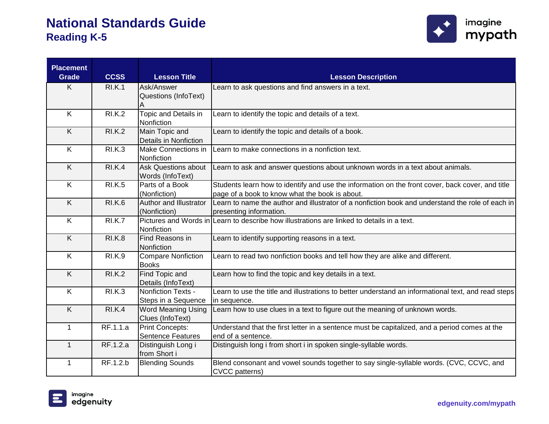

| <b>Placement</b><br><b>Grade</b> | <b>CCSS</b>   | <b>Lesson Title</b>                                | <b>Lesson Description</b>                                                                                                                          |
|----------------------------------|---------------|----------------------------------------------------|----------------------------------------------------------------------------------------------------------------------------------------------------|
| K                                | <b>RI.K.1</b> | Ask/Answer<br>Questions (InfoText)<br>Α            | Learn to ask questions and find answers in a text.                                                                                                 |
| K                                | <b>RI.K.2</b> | Topic and Details in<br>Nonfiction                 | Learn to identify the topic and details of a text.                                                                                                 |
| K                                | <b>RI.K.2</b> | Main Topic and<br>Details in Nonfiction            | Learn to identify the topic and details of a book.                                                                                                 |
| K                                | <b>RI.K.3</b> | Make Connections in<br>Nonfiction                  | Learn to make connections in a nonfiction text.                                                                                                    |
| K                                | <b>RI.K.4</b> | <b>Ask Questions about</b><br>Words (InfoText)     | Learn to ask and answer questions about unknown words in a text about animals.                                                                     |
| K                                | <b>RI.K.5</b> | Parts of a Book<br>(Nonfiction)                    | Students learn how to identify and use the information on the front cover, back cover, and title<br>page of a book to know what the book is about. |
| K                                | <b>RI.K.6</b> | Author and Illustrator<br>(Nonfiction)             | Learn to name the author and illustrator of a nonfiction book and understand the role of each in<br>presenting information.                        |
| K                                | <b>RI.K.7</b> | Nonfiction                                         | Pictures and Words in Learn to describe how illustrations are linked to details in a text.                                                         |
| K                                | <b>RI.K.8</b> | Find Reasons in<br>Nonfiction                      | Learn to identify supporting reasons in a text.                                                                                                    |
| K                                | <b>RI.K.9</b> | <b>Compare Nonfiction</b><br><b>Books</b>          | Learn to read two nonfiction books and tell how they are alike and different.                                                                      |
| K                                | <b>RI.K.2</b> | Find Topic and<br>Details (InfoText)               | Learn how to find the topic and key details in a text.                                                                                             |
| $\overline{K}$                   | <b>RI.K.3</b> | Nonfiction Texts -<br>Steps in a Sequence          | Learn to use the title and illustrations to better understand an informational text, and read steps<br>in sequence.                                |
| $\overline{K}$                   | RI.K.4        | <b>Word Meaning Using</b><br>Clues (InfoText)      | Learn how to use clues in a text to figure out the meaning of unknown words.                                                                       |
| $\mathbf{1}$                     | RF.1.1.a      | <b>Print Concepts:</b><br><b>Sentence Features</b> | Understand that the first letter in a sentence must be capitalized, and a period comes at the<br>end of a sentence.                                |
| $\mathbf{1}$                     | RF.1.2.a      | Distinguish Long i<br>from Short i                 | Distinguish long i from short i in spoken single-syllable words.                                                                                   |
| $\mathbf{1}$                     | RF.1.2.b      | <b>Blending Sounds</b>                             | Blend consonant and vowel sounds together to say single-syllable words. (CVC, CCVC, and<br>CVCC patterns)                                          |

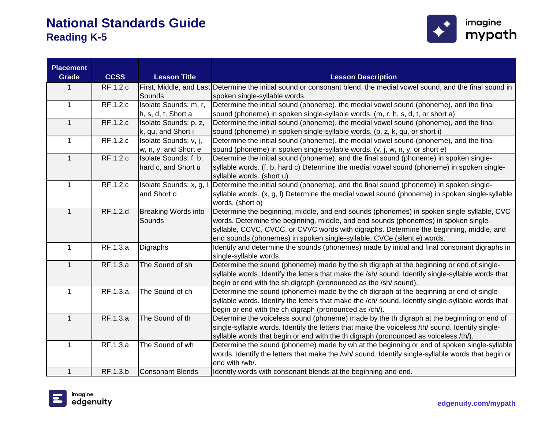

| <b>Placement</b><br><b>Grade</b> | <b>CCSS</b> | <b>Lesson Title</b>        | <b>Lesson Description</b>                                                                                              |
|----------------------------------|-------------|----------------------------|------------------------------------------------------------------------------------------------------------------------|
|                                  | RF.1.2.c    |                            | First, Middle, and Last Determine the initial sound or consonant blend, the medial vowel sound, and the final sound in |
|                                  |             | Sounds                     | spoken single-syllable words.                                                                                          |
| $\mathbf{1}$                     | RF.1.2.c    | Isolate Sounds: m, r,      | Determine the initial sound (phoneme), the medial vowel sound (phoneme), and the final                                 |
|                                  |             | h, s, d, t, Short a        | sound (phoneme) in spoken single-syllable words. (m, r, h, s, d, t, or short a)                                        |
| $\mathbf{1}$                     | RF.1.2.c    | Isolate Sounds: p, z,      | Determine the initial sound (phoneme), the medial vowel sound (phoneme), and the final                                 |
|                                  |             | k, qu, and Short i         | sound (phoneme) in spoken single-syllable words. (p, z, k, qu, or short i)                                             |
| $\mathbf{1}$                     | RF.1.2.c    | Isolate Sounds: v, j,      | Determine the initial sound (phoneme), the medial vowel sound (phoneme), and the final                                 |
|                                  |             | w, n, y, and Short e       | sound (phoneme) in spoken single-syllable words. (v, j, w, n, y, or short e)                                           |
| $\mathbf{1}$                     | RF.1.2.c    | Isolate Sounds: f, b,      | Determine the initial sound (phoneme), and the final sound (phoneme) in spoken single-                                 |
|                                  |             | hard c, and Short u        | syllable words. (f, b, hard c) Determine the medial vowel sound (phoneme) in spoken single-                            |
|                                  |             |                            | syllable words. (short u)                                                                                              |
| $\mathbf 1$                      | RF.1.2.c    | Isolate Sounds: x, g, I    | Determine the initial sound (phoneme), and the final sound (phoneme) in spoken single-                                 |
|                                  |             | and Short o                | syllable words. (x, g, l) Determine the medial vowel sound (phoneme) in spoken single-syllable                         |
|                                  |             |                            | words. (short o)                                                                                                       |
| $\mathbf{1}$                     | RF.1.2.d    | <b>Breaking Words into</b> | Determine the beginning, middle, and end sounds (phonemes) in spoken single-syllable, CVC                              |
|                                  |             | Sounds                     | words. Determine the beginning, middle, and end sounds (phonemes) in spoken single-                                    |
|                                  |             |                            | syllable, CCVC, CVCC, or CVVC words with digraphs. Determine the beginning, middle, and                                |
|                                  |             |                            | end sounds (phonemes) in spoken single-syllable, CVCe (silent e) words.                                                |
| $\mathbf 1$                      | RF.1.3.a    | Digraphs                   | Identify and determine the sounds (phonemes) made by initial and final consonant digraphs in                           |
|                                  |             |                            | single-syllable words.                                                                                                 |
| $\mathbf{1}$                     | RF.1.3.a    | The Sound of sh            | Determine the sound (phoneme) made by the sh digraph at the beginning or end of single-                                |
|                                  |             |                            | syllable words. Identify the letters that make the /sh/ sound. Identify single-syllable words that                     |
|                                  |             |                            | begin or end with the sh digraph (pronounced as the /sh/ sound).                                                       |
| $\mathbf{1}$                     | RF.1.3.a    | The Sound of ch            | Determine the sound (phoneme) made by the ch digraph at the beginning or end of single-                                |
|                                  |             |                            | syllable words. Identify the letters that make the /ch/ sound. Identify single-syllable words that                     |
|                                  |             |                            | begin or end with the ch digraph (pronounced as /ch/).                                                                 |
| $\mathbf{1}$                     | RF.1.3.a    | The Sound of th            | Determine the voiceless sound (phoneme) made by the th digraph at the beginning or end of                              |
|                                  |             |                            | single-syllable words. Identify the letters that make the voiceless /th/ sound. Identify single-                       |
|                                  |             |                            | syllable words that begin or end with the th digraph (pronounced as voiceless /th/).                                   |
| $\mathbf{1}$                     | RF.1.3.a    | The Sound of wh            | Determine the sound (phoneme) made by wh at the beginning or end of spoken single-syllable                             |
|                                  |             |                            | words. Identify the letters that make the /wh/ sound. Identify single-syllable words that begin or                     |
|                                  |             |                            | end with /wh/.                                                                                                         |
| $\mathbf{1}$                     | RF.1.3.b    | <b>Consonant Blends</b>    | Identify words with consonant blends at the beginning and end.                                                         |

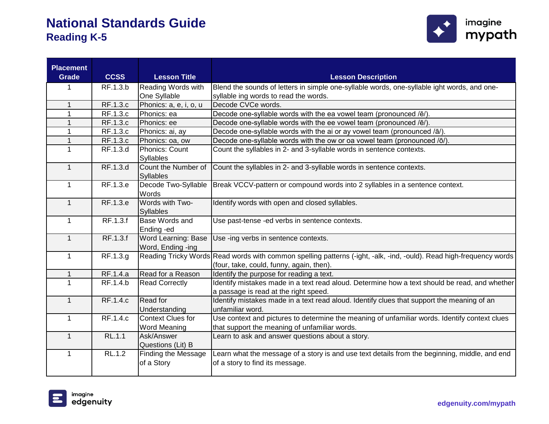

| <b>Placement</b><br><b>Grade</b> | <b>CCSS</b>     | <b>Lesson Title</b>                             | <b>Lesson Description</b>                                                                                                                                       |
|----------------------------------|-----------------|-------------------------------------------------|-----------------------------------------------------------------------------------------------------------------------------------------------------------------|
| 1                                | RF.1.3.b        | Reading Words with                              | Blend the sounds of letters in simple one-syllable words, one-syllable ight words, and one-                                                                     |
|                                  |                 | One Syllable                                    | syllable ing words to read the words.                                                                                                                           |
| $\mathbf 1$                      | RF.1.3.c        | Phonics: a, e, i, o, u                          | Decode CVCe words.                                                                                                                                              |
| 1                                | RF.1.3.c        | Phonics: ea                                     | Decode one-syllable words with the ea vowel team (pronounced /ē/).                                                                                              |
|                                  | RF.1.3.c        | Phonics: ee                                     | Decode one-syllable words with the ee vowel team (pronounced /ē/).                                                                                              |
|                                  | RF.1.3.c        | Phonics: ai, ay                                 | Decode one-syllable words with the ai or ay vowel team (pronounced /ā/).                                                                                        |
| $\mathbf{1}$                     | RF.1.3.c        | Phonics: oa, ow                                 | Decode one-syllable words with the ow or oa vowel team (pronounced /ō/).                                                                                        |
| 1                                | RF.1.3.d        | <b>Phonics: Count</b>                           | Count the syllables in 2- and 3-syllable words in sentence contexts.                                                                                            |
|                                  |                 | Syllables                                       |                                                                                                                                                                 |
| $\mathbf{1}$                     | RF.1.3.d        | Count the Number of<br><b>Syllables</b>         | Count the syllables in 2- and 3-syllable words in sentence contexts.                                                                                            |
| $\mathbf{1}$                     | RF.1.3.e        | Decode Two-Syllable<br>Words                    | Break VCCV-pattern or compound words into 2 syllables in a sentence context.                                                                                    |
| $\mathbf{1}$                     | RF.1.3.e        | Words with Two-<br>Syllables                    | Identify words with open and closed syllables.                                                                                                                  |
| $\mathbf{1}$                     | RF.1.3.f        | <b>Base Words and</b><br>Ending -ed             | Use past-tense -ed verbs in sentence contexts.                                                                                                                  |
| $\mathbf{1}$                     | RF.1.3.f        | Word Learning: Base<br>Word, Ending -ing        | Use -ing verbs in sentence contexts.                                                                                                                            |
| $\mathbf{1}$                     | RF.1.3.g        |                                                 | Reading Tricky Words Read words with common spelling patterns (-ight, -alk, -ind, -ould). Read high-frequency words<br>(four, take, could, funny, again, then). |
| $\mathbf{1}$                     | RF.1.4.a        | Read for a Reason                               | Identify the purpose for reading a text.                                                                                                                        |
| $\mathbf{1}$                     | RF.1.4.b        | <b>Read Correctly</b>                           | Identify mistakes made in a text read aloud. Determine how a text should be read, and whether<br>a passage is read at the right speed.                          |
| $\mathbf{1}$                     | <b>RF.1.4.c</b> | Read for<br>Understanding                       | Identify mistakes made in a text read aloud. Identify clues that support the meaning of an<br>unfamiliar word.                                                  |
| $\mathbf{1}$                     | RF.1.4.c        | <b>Context Clues for</b><br><b>Word Meaning</b> | Use context and pictures to determine the meaning of unfamiliar words. Identify context clues<br>that support the meaning of unfamiliar words.                  |
| $\mathbf{1}$                     | <b>RL.1.1</b>   | Ask/Answer<br>Questions (Lit) B                 | Learn to ask and answer questions about a story.                                                                                                                |
| $\mathbf{1}$                     | <b>RL.1.2</b>   | <b>Finding the Message</b><br>of a Story        | Learn what the message of a story is and use text details from the beginning, middle, and end<br>of a story to find its message.                                |

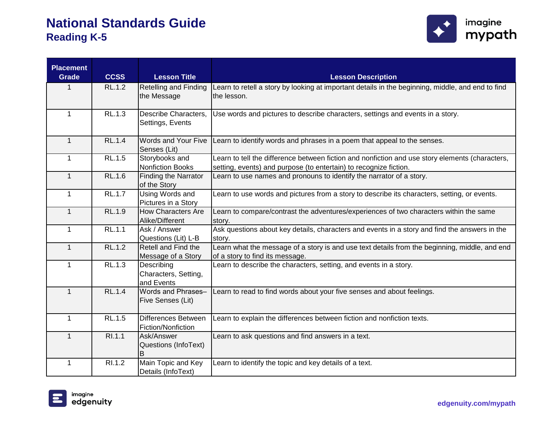

| <b>Placement</b><br><b>Grade</b> | <b>CCSS</b>   | <b>Lesson Title</b>                              | <b>Lesson Description</b>                                                                                                                                            |
|----------------------------------|---------------|--------------------------------------------------|----------------------------------------------------------------------------------------------------------------------------------------------------------------------|
| $\mathbf 1$                      | RL.1.2        | <b>Retelling and Finding</b><br>the Message      | Learn to retell a story by looking at important details in the beginning, middle, and end to find<br>the lesson.                                                     |
| $\mathbf{1}$                     | RL.1.3        | Describe Characters,<br>Settings, Events         | Use words and pictures to describe characters, settings and events in a story.                                                                                       |
| $\mathbf{1}$                     | <b>RL.1.4</b> | Words and Your Five<br>Senses (Lit)              | Learn to identify words and phrases in a poem that appeal to the senses.                                                                                             |
| $\mathbf{1}$                     | RL.1.5        | Storybooks and<br><b>Nonfiction Books</b>        | Learn to tell the difference between fiction and nonfiction and use story elements (characters,<br>setting, events) and purpose (to entertain) to recognize fiction. |
| $\mathbf{1}$                     | <b>RL.1.6</b> | <b>Finding the Narrator</b><br>of the Story      | Learn to use names and pronouns to identify the narrator of a story.                                                                                                 |
| $\mathbf 1$                      | <b>RL.1.7</b> | <b>Using Words and</b><br>Pictures in a Story    | Learn to use words and pictures from a story to describe its characters, setting, or events.                                                                         |
| $\mathbf{1}$                     | <b>RL.1.9</b> | <b>How Characters Are</b><br>Alike/Different     | Learn to compare/contrast the adventures/experiences of two characters within the same<br>story.                                                                     |
| $\mathbf{1}$                     | RL.1.1        | Ask / Answer<br>Questions (Lit) L-B              | Ask questions about key details, characters and events in a story and find the answers in the<br>story.                                                              |
| $\mathbf{1}$                     | <b>RL.1.2</b> | Retell and Find the<br>Message of a Story        | Learn what the message of a story is and use text details from the beginning, middle, and end<br>of a story to find its message.                                     |
| $\mathbf 1$                      | RL.1.3        | Describing<br>Characters, Setting,<br>and Events | Learn to describe the characters, setting, and events in a story.                                                                                                    |
| $\mathbf{1}$                     | <b>RL.1.4</b> | Words and Phrases-<br>Five Senses (Lit)          | Learn to read to find words about your five senses and about feelings.                                                                                               |
| $\mathbf{1}$                     | <b>RL.1.5</b> | Differences Between<br>Fiction/Nonfiction        | Learn to explain the differences between fiction and nonfiction texts.                                                                                               |
| $\mathbf{1}$                     | RI.1.1        | Ask/Answer<br>Questions (InfoText)<br>в          | Learn to ask questions and find answers in a text.                                                                                                                   |
| $\mathbf{1}$                     | RI.1.2        | Main Topic and Key<br>Details (InfoText)         | Learn to identify the topic and key details of a text.                                                                                                               |

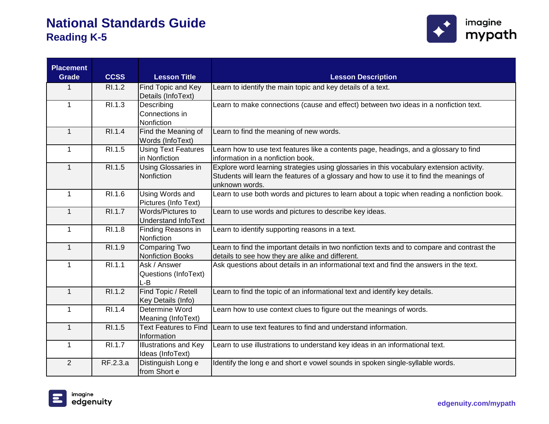

| <b>Placement</b><br><b>Grade</b> | <b>CCSS</b>   | <b>Lesson Title</b>                              | <b>Lesson Description</b>                                                                                                                                                                              |
|----------------------------------|---------------|--------------------------------------------------|--------------------------------------------------------------------------------------------------------------------------------------------------------------------------------------------------------|
| 1                                | RI.1.2        | Find Topic and Key<br>Details (InfoText)         | Learn to identify the main topic and key details of a text.                                                                                                                                            |
| $\mathbf{1}$                     | RI.1.3        | Describing<br>Connections in<br>Nonfiction       | Learn to make connections (cause and effect) between two ideas in a nonfiction text.                                                                                                                   |
| $\mathbf{1}$                     | RI.1.4        | Find the Meaning of<br>Words (InfoText)          | Learn to find the meaning of new words.                                                                                                                                                                |
| $\mathbf{1}$                     | RI.1.5        | <b>Using Text Features</b><br>in Nonfiction      | Learn how to use text features like a contents page, headings, and a glossary to find<br>information in a nonfiction book.                                                                             |
| $\mathbf{1}$                     | RI.1.5        | Using Glossaries in<br>Nonfiction                | Explore word learning strategies using glossaries in this vocabulary extension activity.<br>Students will learn the features of a glossary and how to use it to find the meanings of<br>unknown words. |
| $\mathbf{1}$                     | R1.1.6        | <b>Using Words and</b><br>Pictures (Info Text)   | Learn to use both words and pictures to learn about a topic when reading a nonfiction book.                                                                                                            |
| $\mathbf{1}$                     | <b>RI.1.7</b> | Words/Pictures to<br>Understand InfoText         | Learn to use words and pictures to describe key ideas.                                                                                                                                                 |
| $\mathbf{1}$                     | RI.1.8        | Finding Reasons in<br>Nonfiction                 | Learn to identify supporting reasons in a text.                                                                                                                                                        |
| $\mathbf{1}$                     | RI.1.9        | <b>Comparing Two</b><br><b>Nonfiction Books</b>  | Learn to find the important details in two nonfiction texts and to compare and contrast the<br>details to see how they are alike and different.                                                        |
| $\mathbf{1}$                     | RI.1.1        | Ask / Answer<br>Questions (InfoText)<br>L-B      | Ask questions about details in an informational text and find the answers in the text.                                                                                                                 |
| $\mathbf{1}$                     | RI.1.2        | Find Topic / Retell<br>Key Details (Info)        | Learn to find the topic of an informational text and identify key details.                                                                                                                             |
| $\mathbf{1}$                     | RI.1.4        | Determine Word<br>Meaning (InfoText)             | Learn how to use context clues to figure out the meanings of words.                                                                                                                                    |
| $\mathbf{1}$                     | RI.1.5        | <b>Text Features to Find</b><br>Information      | Learn to use text features to find and understand information.                                                                                                                                         |
| 1                                | RI.1.7        | <b>Illustrations and Key</b><br>Ideas (InfoText) | Learn to use illustrations to understand key ideas in an informational text.                                                                                                                           |
| $\overline{2}$                   | RF.2.3.a      | Distinguish Long e<br>from Short e               | Identify the long e and short e vowel sounds in spoken single-syllable words.                                                                                                                          |

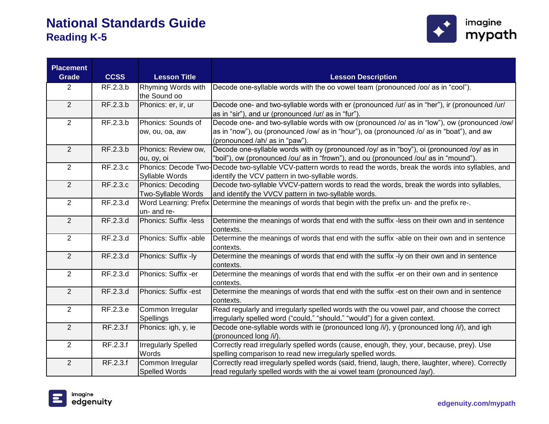

| <b>Placement</b><br><b>Grade</b> | <b>CCSS</b> | <b>Lesson Title</b>          | <b>Lesson Description</b>                                                                         |
|----------------------------------|-------------|------------------------------|---------------------------------------------------------------------------------------------------|
| $\overline{2}$                   | RF.2.3.b    | Rhyming Words with           | Decode one-syllable words with the oo vowel team (pronounced /oo/ as in "cool").                  |
|                                  |             | the Sound oo                 |                                                                                                   |
| 2                                | RF.2.3.b    | Phonics: er, ir, ur          | Decode one- and two-syllable words with er (pronounced /ur/ as in "her"), ir (pronounced /ur/     |
|                                  |             |                              | as in "sir"), and ur (pronounced /ur/ as in "fur").                                               |
| $\overline{2}$                   | RF.2.3.b    | Phonics: Sounds of           | Decode one- and two-syllable words with ow (pronounced /o/ as in "low"), ow (pronounced /ow/      |
|                                  |             | ow, ou, oa, aw               | as in "now"), ou (pronounced /ow/ as in "hour"), oa (pronounced /o/ as in "boat"), and aw         |
|                                  |             |                              | (pronounced /ah/ as in "paw").                                                                    |
| 2                                | RF.2.3.b    | Phonics: Review ow,          | Decode one-syllable words with oy (pronounced /oy/ as in "boy"), oi (pronounced /oy/ as in        |
|                                  |             | ou, oy, oi                   | "boil"), ow (pronounced /ou/ as in "frown"), and ou (pronounced /ou/ as in "mound")               |
| 2                                | RF.2.3.c    | Phonics: Decode Two-         | Decode two-syllable VCV-pattern words to read the words, break the words into syllables, and      |
|                                  |             | Syllable Words               | identify the VCV pattern in two-syllable words.                                                   |
| 2                                | RF.2.3.c    | Phonics: Decoding            | Decode two-syllable VVCV-pattern words to read the words, break the words into syllables,         |
|                                  |             | Two-Syllable Words           | and identify the VVCV pattern in two-syllable words.                                              |
| 2                                | RF.2.3.d    | <b>Word Learning: Prefix</b> | Determine the meanings of words that begin with the prefix un- and the prefix re-.                |
|                                  |             | un- and re-                  |                                                                                                   |
| 2                                | RF.2.3.d    | Phonics: Suffix -less        | Determine the meanings of words that end with the suffix -less on their own and in sentence       |
|                                  |             |                              | contexts.                                                                                         |
| $\overline{2}$                   | RF.2.3.d    | Phonics: Suffix -able        | Determine the meanings of words that end with the suffix -able on their own and in sentence       |
|                                  |             |                              | contexts.                                                                                         |
| 2                                | RF.2.3.d    | Phonics: Suffix -ly          | Determine the meanings of words that end with the suffix -ly on their own and in sentence         |
|                                  |             |                              | contexts.                                                                                         |
| 2                                | RF.2.3.d    | Phonics: Suffix -er          | Determine the meanings of words that end with the suffix -er on their own and in sentence         |
|                                  |             |                              | contexts.                                                                                         |
| 2                                | RF.2.3.d    | Phonics: Suffix -est         | Determine the meanings of words that end with the suffix -est on their own and in sentence        |
|                                  |             |                              | contexts.                                                                                         |
| $\overline{2}$                   | RF.2.3.e    | Common Irregular             | Read regularly and irregularly spelled words with the ou vowel pair, and choose the correct       |
|                                  |             | <b>Spellings</b>             | irregularly spelled word ("could," "should," "would") for a given context.                        |
| 2                                | RF.2.3.f    | Phonics: igh, y, ie          | Decode one-syllable words with ie (pronounced long /i/), y (pronounced long /i/), and igh         |
|                                  |             |                              | (pronounced long /i/).                                                                            |
| 2                                | RF.2.3.f    | <b>Irregularly Spelled</b>   | Correctly read irregularly spelled words (cause, enough, they, your, because, prey). Use          |
|                                  |             | Words                        | spelling comparison to read new irregularly spelled words.                                        |
| 2                                | RF.2.3.f    | Common Irregular             | Correctly read irregularly spelled words (said, friend, laugh, there, laughter, where). Correctly |
|                                  |             | <b>Spelled Words</b>         | read regularly spelled words with the ai vowel team (pronounced /ay/).                            |

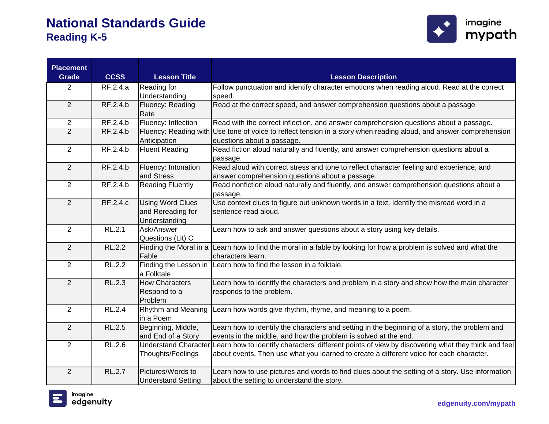

| <b>Placement</b><br><b>Grade</b> | <b>CCSS</b>   | <b>Lesson Title</b>       | <b>Lesson Description</b>                                                                                          |
|----------------------------------|---------------|---------------------------|--------------------------------------------------------------------------------------------------------------------|
| $\overline{2}$                   | RF.2.4.a      | Reading for               | Follow punctuation and identify character emotions when reading aloud. Read at the correct                         |
|                                  |               | Understanding             | speed.                                                                                                             |
| $\overline{2}$                   | RF.2.4.b      | Fluency: Reading          | Read at the correct speed, and answer comprehension questions about a passage                                      |
|                                  |               | Rate                      |                                                                                                                    |
| $\overline{2}$                   | RF.2.4.b      | Fluency: Inflection       | Read with the correct inflection, and answer comprehension questions about a passage.                              |
| $\overline{2}$                   | RF.2.4.b      |                           | Fluency: Reading with Use tone of voice to reflect tension in a story when reading aloud, and answer comprehension |
|                                  |               | Anticipation              | questions about a passage.                                                                                         |
| $\overline{2}$                   | RF.2.4.b      | <b>Fluent Reading</b>     | Read fiction aloud naturally and fluently, and answer comprehension questions about a                              |
|                                  |               |                           | passage.                                                                                                           |
| 2                                | RF.2.4.b      | Fluency: Intonation       | Read aloud with correct stress and tone to reflect character feeling and experience, and                           |
|                                  |               | and Stress                | answer comprehension questions about a passage.                                                                    |
| $\overline{2}$                   | RF.2.4.b      | <b>Reading Fluently</b>   | Read nonfiction aloud naturally and fluently, and answer comprehension questions about a                           |
| 2                                | RF.2.4.c      | <b>Using Word Clues</b>   | passage.<br>Use context clues to figure out unknown words in a text. Identify the misread word in a                |
|                                  |               | and Rereading for         | sentence read aloud.                                                                                               |
|                                  |               | Understanding             |                                                                                                                    |
| $\overline{2}$                   | RL.2.1        | Ask/Answer                | Learn how to ask and answer questions about a story using key details.                                             |
|                                  |               | Questions (Lit) C         |                                                                                                                    |
| 2                                | <b>RL.2.2</b> |                           | Finding the Moral in a Learn how to find the moral in a fable by looking for how a problem is solved and what the  |
|                                  |               | Fable                     | characters learn.                                                                                                  |
| $\overline{2}$                   | RL.2.2        |                           | Finding the Lesson in Learn how to find the lesson in a folktale.                                                  |
|                                  |               | a Folktale                |                                                                                                                    |
| $\overline{2}$                   | <b>RL.2.3</b> | <b>How Characters</b>     | Learn how to identify the characters and problem in a story and show how the main character                        |
|                                  |               | Respond to a              | responds to the problem.                                                                                           |
|                                  |               | Problem                   |                                                                                                                    |
| $\overline{2}$                   | <b>RL.2.4</b> | Rhythm and Meaning        | Learn how words give rhythm, rhyme, and meaning to a poem.                                                         |
|                                  |               | in a Poem                 |                                                                                                                    |
| 2                                | <b>RL.2.5</b> | Beginning, Middle,        | Learn how to identify the characters and setting in the beginning of a story, the problem and                      |
|                                  |               | and End of a Story        | events in the middle, and how the problem is solved at the end.                                                    |
| $\overline{2}$                   | <b>RL.2.6</b> | Understand Character      | Learn how to identify characters' different points of view by discovering what they think and feel                 |
|                                  |               | Thoughts/Feelings         | about events. Then use what you learned to create a different voice for each character.                            |
| $\overline{2}$                   | RL.2.7        | Pictures/Words to         | Learn how to use pictures and words to find clues about the setting of a story. Use information                    |
|                                  |               | <b>Understand Setting</b> | about the setting to understand the story.                                                                         |

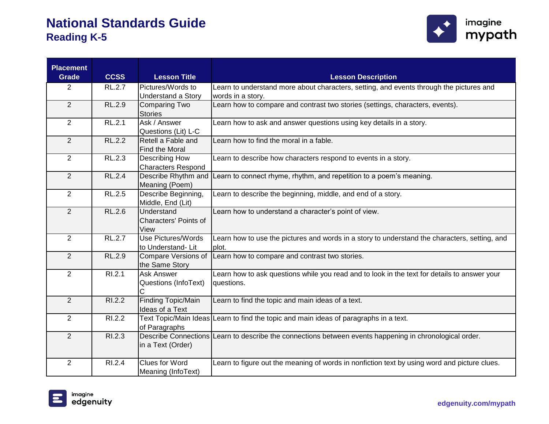

| <b>Placement</b><br><b>Grade</b> | <b>CCSS</b>   | <b>Lesson Title</b>                    | <b>Lesson Description</b>                                                                               |
|----------------------------------|---------------|----------------------------------------|---------------------------------------------------------------------------------------------------------|
| 2                                | <b>RL.2.7</b> | Pictures/Words to                      | Learn to understand more about characters, setting, and events through the pictures and                 |
|                                  |               | Understand a Story                     | words in a story.                                                                                       |
| $\overline{2}$                   | <b>RL.2.9</b> | <b>Comparing Two</b><br><b>Stories</b> | Learn how to compare and contrast two stories (settings, characters, events).                           |
| $\overline{2}$                   | RL.2.1        | Ask / Answer                           | Learn how to ask and answer questions using key details in a story.                                     |
|                                  |               | Questions (Lit) L-C                    |                                                                                                         |
| $\overline{2}$                   | RL.2.2        | Retell a Fable and<br>Find the Moral   | Learn how to find the moral in a fable.                                                                 |
| $\overline{2}$                   | RL.2.3        | Describing How                         | Learn to describe how characters respond to events in a story.                                          |
|                                  |               | <b>Characters Respond</b>              |                                                                                                         |
| 2                                | <b>RL.2.4</b> | Describe Rhythm and                    | Learn to connect rhyme, rhythm, and repetition to a poem's meaning.                                     |
|                                  |               | Meaning (Poem)                         |                                                                                                         |
| $\overline{2}$                   | RL.2.5        | Describe Beginning,                    | Learn to describe the beginning, middle, and end of a story.                                            |
|                                  |               | Middle, End (Lit)                      |                                                                                                         |
| $\overline{2}$                   | <b>RL.2.6</b> | Understand                             | Learn how to understand a character's point of view.                                                    |
|                                  |               | <b>Characters' Points of</b>           |                                                                                                         |
|                                  |               | View                                   |                                                                                                         |
| $\overline{2}$                   | <b>RL.2.7</b> | <b>Use Pictures/Words</b>              | Learn how to use the pictures and words in a story to understand the characters, setting, and           |
|                                  |               | to Understand-Lit                      | plot.                                                                                                   |
| $\overline{2}$                   | <b>RL.2.9</b> | Compare Versions of                    | Learn how to compare and contrast two stories.                                                          |
|                                  |               | the Same Story                         |                                                                                                         |
| $\overline{2}$                   | RI.2.1        | <b>Ask Answer</b>                      | Learn how to ask questions while you read and to look in the text for details to answer your            |
|                                  |               | Questions (InfoText)                   | questions.                                                                                              |
|                                  |               |                                        |                                                                                                         |
| $\overline{2}$                   | R1.2.2        | <b>Finding Topic/Main</b>              | Learn to find the topic and main ideas of a text.                                                       |
|                                  |               | Ideas of a Text                        |                                                                                                         |
| $\overline{2}$                   | RI.2.2        |                                        | Text Topic/Main Ideas Learn to find the topic and main ideas of paragraphs in a text.                   |
|                                  |               | of Paragraphs                          |                                                                                                         |
| $\overline{2}$                   | R1.2.3        |                                        | Describe Connections Learn to describe the connections between events happening in chronological order. |
|                                  |               | in a Text (Order)                      |                                                                                                         |
| $\overline{2}$                   | RI.2.4        | Clues for Word                         | Learn to figure out the meaning of words in nonfiction text by using word and picture clues.            |
|                                  |               | Meaning (InfoText)                     |                                                                                                         |

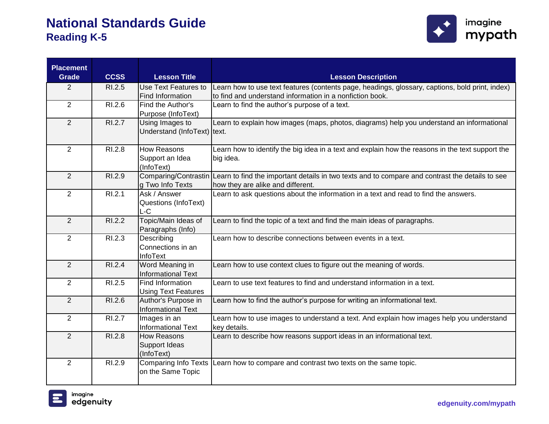

| <b>Placement</b> |             |                                           |                                                                                                          |
|------------------|-------------|-------------------------------------------|----------------------------------------------------------------------------------------------------------|
| <b>Grade</b>     | <b>CCSS</b> | <b>Lesson Title</b>                       | <b>Lesson Description</b>                                                                                |
| $\overline{2}$   | RI.2.5      | Use Text Features to                      | Learn how to use text features (contents page, headings, glossary, captions, bold print, index)          |
|                  |             | Find Information                          | to find and understand information in a nonfiction book.                                                 |
| $\overline{2}$   | RI.2.6      | Find the Author's                         | Learn to find the author's purpose of a text.                                                            |
|                  |             | Purpose (InfoText)                        |                                                                                                          |
| $\overline{2}$   | R1.2.7      | Using Images to                           | Learn to explain how images (maps, photos, diagrams) help you understand an informational                |
|                  |             | Understand (InfoText) text.               |                                                                                                          |
|                  |             |                                           |                                                                                                          |
| $\overline{2}$   | RI.2.8      | <b>How Reasons</b>                        | Learn how to identify the big idea in a text and explain how the reasons in the text support the         |
|                  |             | Support an Idea<br>(InfoText)             | big idea.                                                                                                |
| 2                | RI.2.9      | Comparing/Contrastin                      | Learn to find the important details in two texts and to compare and contrast the details to see          |
|                  |             | g Two Info Texts                          | how they are alike and different.                                                                        |
| $\overline{2}$   | RI.2.1      | Ask / Answer                              | Learn to ask questions about the information in a text and read to find the answers.                     |
|                  |             | Questions (InfoText)                      |                                                                                                          |
|                  |             | L-C                                       |                                                                                                          |
| 2                | RI.2.2      | Topic/Main Ideas of                       | Learn to find the topic of a text and find the main ideas of paragraphs.                                 |
|                  |             | Paragraphs (Info)                         |                                                                                                          |
| $\overline{2}$   | RI.2.3      | Describing                                | Learn how to describe connections between events in a text.                                              |
|                  |             | Connections in an                         |                                                                                                          |
|                  |             | InfoText                                  |                                                                                                          |
| $\overline{2}$   | RI.2.4      | Word Meaning in                           | Learn how to use context clues to figure out the meaning of words.                                       |
|                  |             | <b>Informational Text</b>                 |                                                                                                          |
| $\overline{2}$   | RI.2.5      | Find Information                          | Learn to use text features to find and understand information in a text.                                 |
|                  |             | <b>Using Text Features</b>                |                                                                                                          |
| $\overline{2}$   | RI.2.6      | Author's Purpose in                       | Learn how to find the author's purpose for writing an informational text.                                |
| $\overline{2}$   | RI.2.7      | <b>Informational Text</b>                 |                                                                                                          |
|                  |             | Images in an<br><b>Informational Text</b> | Learn how to use images to understand a text. And explain how images help you understand<br>key details. |
| $\overline{2}$   | RI.2.8      | <b>How Reasons</b>                        | Learn to describe how reasons support ideas in an informational text.                                    |
|                  |             | Support Ideas                             |                                                                                                          |
|                  |             | (InfoText)                                |                                                                                                          |
| $\overline{2}$   | RI.2.9      | <b>Comparing Info Texts</b>               | Learn how to compare and contrast two texts on the same topic.                                           |
|                  |             | on the Same Topic                         |                                                                                                          |
|                  |             |                                           |                                                                                                          |

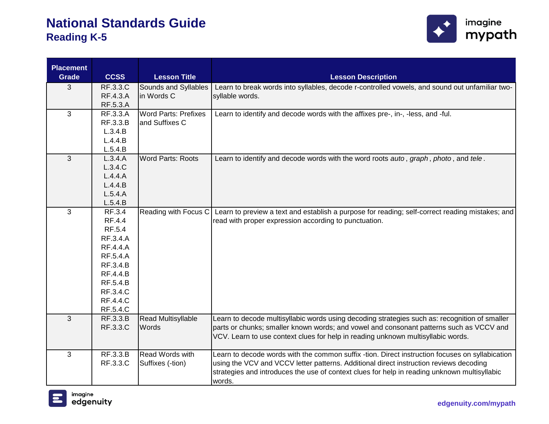

| <b>Placement</b> |                    |                             |                                                                                                 |
|------------------|--------------------|-----------------------------|-------------------------------------------------------------------------------------------------|
| <b>Grade</b>     | <b>CCSS</b>        | <b>Lesson Title</b>         | <b>Lesson Description</b>                                                                       |
| 3                | <b>RF.3.3.C</b>    | Sounds and Syllables        | Learn to break words into syllables, decode r-controlled vowels, and sound out unfamiliar two-  |
|                  | RF.4.3.A           | in Words C                  | syllable words.                                                                                 |
|                  | RF.5.3.A           |                             |                                                                                                 |
| 3                | RF.3.3.A           | <b>Word Parts: Prefixes</b> | Learn to identify and decode words with the affixes pre-, in-, -less, and -ful.                 |
|                  | RF.3.3.B           | and Suffixes C              |                                                                                                 |
|                  | L.3.4.B            |                             |                                                                                                 |
|                  | L.4.4.B            |                             |                                                                                                 |
|                  | L.5.4.B            |                             |                                                                                                 |
| $\mathfrak{S}$   | L.3.4.A            | <b>Word Parts: Roots</b>    | Learn to identify and decode words with the word roots auto, graph, photo, and tele.            |
|                  | L.3.4.C            |                             |                                                                                                 |
|                  | L.4.4.A            |                             |                                                                                                 |
|                  | L.4.4.B            |                             |                                                                                                 |
|                  | L.5.4.A            |                             |                                                                                                 |
|                  | L.5.4.B            |                             |                                                                                                 |
| $\mathbf{3}$     | RF.3.4             | Reading with Focus C        | Learn to preview a text and establish a purpose for reading; self-correct reading mistakes; and |
|                  | RF.4.4             |                             | read with proper expression according to punctuation.                                           |
|                  | RF.5.4<br>RF.3.4.A |                             |                                                                                                 |
|                  | <b>RF.4.4.A</b>    |                             |                                                                                                 |
|                  | RF.5.4.A           |                             |                                                                                                 |
|                  | RF.3.4.B           |                             |                                                                                                 |
|                  | <b>RF.4.4.B</b>    |                             |                                                                                                 |
|                  | RF.5.4.B           |                             |                                                                                                 |
|                  | <b>RF.3.4.C</b>    |                             |                                                                                                 |
|                  | <b>RF.4.4.C</b>    |                             |                                                                                                 |
|                  | <b>RF.5.4.C</b>    |                             |                                                                                                 |
| 3                | RF.3.3.B           | Read Multisyllable          | Learn to decode multisyllabic words using decoding strategies such as: recognition of smaller   |
|                  | <b>RF.3.3.C</b>    | Words                       | parts or chunks; smaller known words; and vowel and consonant patterns such as VCCV and         |
|                  |                    |                             | VCV. Learn to use context clues for help in reading unknown multisyllabic words.                |
|                  |                    |                             |                                                                                                 |
| 3                | RF.3.3.B           | Read Words with             | Learn to decode words with the common suffix -tion. Direct instruction focuses on syllabication |
|                  | <b>RF.3.3.C</b>    | Suffixes (-tion)            | using the VCV and VCCV letter patterns. Additional direct instruction reviews decoding          |
|                  |                    |                             | strategies and introduces the use of context clues for help in reading unknown multisyllabic    |
|                  |                    |                             | words.                                                                                          |

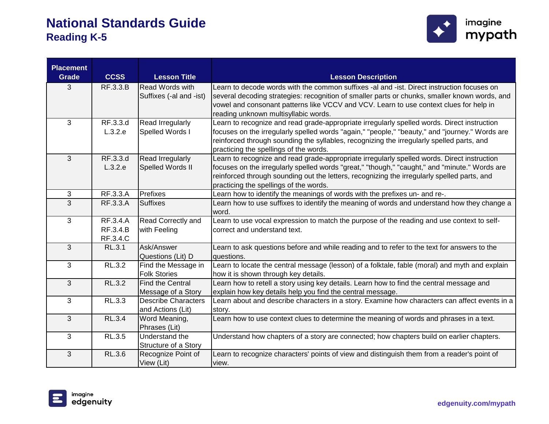

| <b>Placement</b>    |                      |                            |                                                                                                      |
|---------------------|----------------------|----------------------------|------------------------------------------------------------------------------------------------------|
| <b>Grade</b>        | <b>CCSS</b>          | <b>Lesson Title</b>        | <b>Lesson Description</b>                                                                            |
| 3                   | RF.3.3.B             | <b>Read Words with</b>     | Learn to decode words with the common suffixes -al and -ist. Direct instruction focuses on           |
|                     |                      | Suffixes (-al and -ist)    | several decoding strategies: recognition of smaller parts or chunks, smaller known words, and        |
|                     |                      |                            | vowel and consonant patterns like VCCV and VCV. Learn to use context clues for help in               |
|                     |                      |                            | reading unknown multisyllabic words.                                                                 |
| 3                   | RF.3.3.d             | Read Irregularly           | Learn to recognize and read grade-appropriate irregularly spelled words. Direct instruction          |
|                     | L.3.2.e              | Spelled Words I            | focuses on the irregularly spelled words "again," "people," "beauty," and "journey." Words are       |
|                     |                      |                            | reinforced through sounding the syllables, recognizing the irregularly spelled parts, and            |
|                     |                      |                            | practicing the spellings of the words.                                                               |
| 3                   | RF.3.3.d             | Read Irregularly           | Learn to recognize and read grade-appropriate irregularly spelled words. Direct instruction          |
|                     | L.3.2.e              | Spelled Words II           | focuses on the irregularly spelled words "great," "though," "caught," and "minute." Words are        |
|                     |                      |                            | reinforced through sounding out the letters, recognizing the irregularly spelled parts, and          |
|                     |                      | Prefixes                   | practicing the spellings of the words.                                                               |
| 3<br>$\overline{3}$ | RF.3.3.A<br>RF.3.3.A | <b>Suffixes</b>            | Learn how to identify the meanings of words with the prefixes un- and re-.                           |
|                     |                      |                            | Learn how to use suffixes to identify the meaning of words and understand how they change a<br>word. |
| 3                   | RF.3.4.A             | <b>Read Correctly and</b>  | Learn to use vocal expression to match the purpose of the reading and use context to self-           |
|                     | RF.3.4.B             | with Feeling               | correct and understand text.                                                                         |
|                     | RF.3.4.C             |                            |                                                                                                      |
| 3                   | <b>RL.3.1</b>        | Ask/Answer                 | Learn to ask questions before and while reading and to refer to the text for answers to the          |
|                     |                      | Questions (Lit) D          | questions.                                                                                           |
| 3                   | RL.3.2               | Find the Message in        | Learn to locate the central message (lesson) of a folktale, fable (moral) and myth and explain       |
|                     |                      | <b>Folk Stories</b>        | how it is shown through key details.                                                                 |
| 3                   | RL.3.2               | <b>Find the Central</b>    | Learn how to retell a story using key details. Learn how to find the central message and             |
|                     |                      | Message of a Story         | explain how key details help you find the central message.                                           |
| 3                   | <b>RL.3.3</b>        | <b>Describe Characters</b> | Learn about and describe characters in a story. Examine how characters can affect events in a        |
|                     |                      | and Actions (Lit)          | story.                                                                                               |
| 3                   | <b>RL.3.4</b>        | Word Meaning,              | Learn how to use context clues to determine the meaning of words and phrases in a text.              |
|                     |                      | Phrases (Lit)              |                                                                                                      |
| 3                   | <b>RL.3.5</b>        | Understand the             | Understand how chapters of a story are connected; how chapters build on earlier chapters.            |
|                     |                      | Structure of a Story       |                                                                                                      |
| 3                   | <b>RL.3.6</b>        | Recognize Point of         | Learn to recognize characters' points of view and distinguish them from a reader's point of          |
|                     |                      | View (Lit)                 | view.                                                                                                |

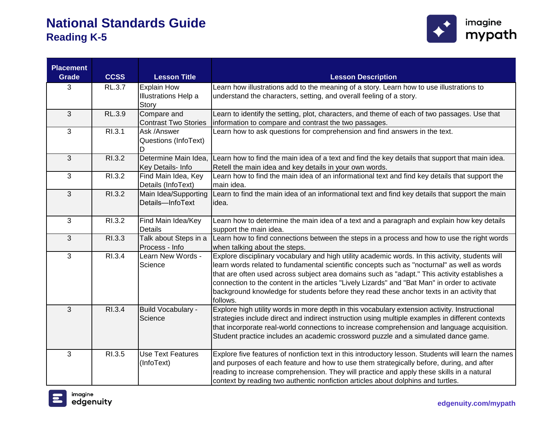

| <b>Placement</b><br><b>Grade</b> | <b>CCSS</b> | <b>Lesson Title</b>         | <b>Lesson Description</b>                                                                             |
|----------------------------------|-------------|-----------------------------|-------------------------------------------------------------------------------------------------------|
| 3                                | RL.3.7      | <b>Explain How</b>          | Learn how illustrations add to the meaning of a story. Learn how to use illustrations to              |
|                                  |             | <b>Illustrations Help a</b> | understand the characters, setting, and overall feeling of a story.                                   |
|                                  |             | Story                       |                                                                                                       |
| $\overline{3}$                   | RL.3.9      | Compare and                 | Learn to identify the setting, plot, characters, and theme of each of two passages. Use that          |
|                                  |             | <b>Contrast Two Stories</b> | information to compare and contrast the two passages.                                                 |
| 3                                | RI.3.1      | Ask /Answer                 | Learn how to ask questions for comprehension and find answers in the text.                            |
|                                  |             | Questions (InfoText)        |                                                                                                       |
|                                  |             | D                           |                                                                                                       |
| 3                                | R1.3.2      | Determine Main Idea,        | Learn how to find the main idea of a text and find the key details that support that main idea.       |
|                                  |             | Key Details- Info           | Retell the main idea and key details in your own words.                                               |
| 3                                | RI.3.2      | Find Main Idea, Key         | Learn how to find the main idea of an informational text and find key details that support the        |
|                                  |             | Details (InfoText)          | main idea.                                                                                            |
| 3                                | R1.3.2      | Main Idea/Supporting        | Learn to find the main idea of an informational text and find key details that support the main       |
|                                  |             | Details-InfoText            | idea.                                                                                                 |
| 3                                | RI.3.2      | Find Main Idea/Key          | Learn how to determine the main idea of a text and a paragraph and explain how key details            |
|                                  |             | <b>Details</b>              | support the main idea.                                                                                |
| $\overline{3}$                   | RI.3.3      | Talk about Steps in a       | Learn how to find connections between the steps in a process and how to use the right words           |
|                                  |             | Process - Info              | when talking about the steps.                                                                         |
| 3                                | RI.3.4      | Learn New Words -           | Explore disciplinary vocabulary and high utility academic words. In this activity, students will      |
|                                  |             | Science                     | learn words related to fundamental scientific concepts such as "nocturnal" as well as words           |
|                                  |             |                             | that are often used across subject area domains such as "adapt." This activity establishes a          |
|                                  |             |                             | connection to the content in the articles "Lively Lizards" and "Bat Man" in order to activate         |
|                                  |             |                             | background knowledge for students before they read these anchor texts in an activity that<br>follows. |
| 3                                | RI.3.4      | Build Vocabulary -          | Explore high utility words in more depth in this vocabulary extension activity. Instructional         |
|                                  |             | Science                     | strategies include direct and indirect instruction using multiple examples in different contexts      |
|                                  |             |                             | that incorporate real-world connections to increase comprehension and language acquisition.           |
|                                  |             |                             | Student practice includes an academic crossword puzzle and a simulated dance game.                    |
|                                  |             |                             |                                                                                                       |
| 3                                | RI.3.5      | <b>Use Text Features</b>    | Explore five features of nonfiction text in this introductory lesson. Students will learn the names   |
|                                  |             | (InfoText)                  | and purposes of each feature and how to use them strategically before, during, and after              |
|                                  |             |                             | reading to increase comprehension. They will practice and apply these skills in a natural             |
|                                  |             |                             | context by reading two authentic nonfiction articles about dolphins and turtles.                      |

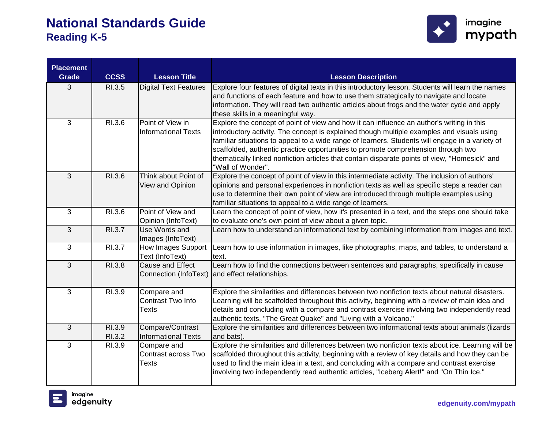

| <b>Placement</b> | <b>CCSS</b> |                                     |                                                                                                                                                                                             |
|------------------|-------------|-------------------------------------|---------------------------------------------------------------------------------------------------------------------------------------------------------------------------------------------|
| <b>Grade</b>     |             | <b>Lesson Title</b>                 | <b>Lesson Description</b>                                                                                                                                                                   |
| 3                | RI.3.5      | <b>Digital Text Features</b>        | Explore four features of digital texts in this introductory lesson. Students will learn the names<br>and functions of each feature and how to use them strategically to navigate and locate |
|                  |             |                                     | information. They will read two authentic articles about frogs and the water cycle and apply                                                                                                |
|                  |             |                                     | these skills in a meaningful way.                                                                                                                                                           |
| 3                | RI.3.6      | Point of View in                    | Explore the concept of point of view and how it can influence an author's writing in this                                                                                                   |
|                  |             | <b>Informational Texts</b>          | introductory activity. The concept is explained though multiple examples and visuals using                                                                                                  |
|                  |             |                                     | familiar situations to appeal to a wide range of learners. Students will engage in a variety of                                                                                             |
|                  |             |                                     | scaffolded, authentic practice opportunities to promote comprehension through two                                                                                                           |
|                  |             |                                     | thematically linked nonfiction articles that contain disparate points of view, "Homesick" and                                                                                               |
|                  |             |                                     | "Wall of Wonder".                                                                                                                                                                           |
| $\overline{3}$   | RI.3.6      | Think about Point of                | Explore the concept of point of view in this intermediate activity. The inclusion of authors'                                                                                               |
|                  |             | View and Opinion                    | opinions and personal experiences in nonfiction texts as well as specific steps a reader can                                                                                                |
|                  |             |                                     | use to determine their own point of view are introduced through multiple examples using                                                                                                     |
|                  |             |                                     | familiar situations to appeal to a wide range of learners.                                                                                                                                  |
| $\mathbf{3}$     | RI.3.6      | Point of View and                   | Learn the concept of point of view, how it's presented in a text, and the steps one should take                                                                                             |
|                  |             | Opinion (InfoText)                  | to evaluate one's own point of view about a given topic.                                                                                                                                    |
| 3                | RI.3.7      | Use Words and                       | Learn how to understand an informational text by combining information from images and text.                                                                                                |
|                  |             | Images (InfoText)                   |                                                                                                                                                                                             |
| 3                | RI.3.7      | How Images Support                  | Learn how to use information in images, like photographs, maps, and tables, to understand a                                                                                                 |
| $\overline{3}$   | RI.3.8      | Text (InfoText)<br>Cause and Effect | text.                                                                                                                                                                                       |
|                  |             |                                     | Learn how to find the connections between sentences and paragraphs, specifically in cause<br>Connection (InfoText) and effect relationships.                                                |
|                  |             |                                     |                                                                                                                                                                                             |
| 3                | RI.3.9      | Compare and                         | Explore the similarities and differences between two nonfiction texts about natural disasters.                                                                                              |
|                  |             | Contrast Two Info                   | Learning will be scaffolded throughout this activity, beginning with a review of main idea and                                                                                              |
|                  |             | Texts                               | details and concluding with a compare and contrast exercise involving two independently read                                                                                                |
|                  |             |                                     | authentic texts, "The Great Quake" and "Living with a Volcano."                                                                                                                             |
| 3                | RI.3.9      | Compare/Contrast                    | Explore the similarities and differences between two informational texts about animals (lizards                                                                                             |
|                  | RI.3.2      | <b>Informational Texts</b>          | and bats).                                                                                                                                                                                  |
| 3                | RI.3.9      | Compare and                         | Explore the similarities and differences between two nonfiction texts about ice. Learning will be                                                                                           |
|                  |             | Contrast across Two                 | scaffolded throughout this activity, beginning with a review of key details and how they can be                                                                                             |
|                  |             | <b>Texts</b>                        | used to find the main idea in a text, and concluding with a compare and contrast exercise                                                                                                   |
|                  |             |                                     | involving two independently read authentic articles, "Iceberg Alert!" and "On Thin Ice."                                                                                                    |
|                  |             |                                     |                                                                                                                                                                                             |

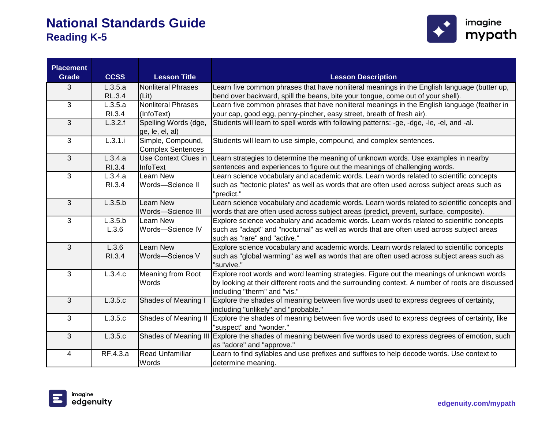

| <b>Placement</b><br><b>Grade</b> | <b>CCSS</b>   | <b>Lesson Title</b>        | <b>Lesson Description</b>                                                                                 |
|----------------------------------|---------------|----------------------------|-----------------------------------------------------------------------------------------------------------|
| 3                                | L.3.5.a       | <b>Nonliteral Phrases</b>  | Learn five common phrases that have nonliteral meanings in the English language (butter up,               |
|                                  | <b>RL.3.4</b> | (Lit)                      | bend over backward, spill the beans, bite your tongue, come out of your shell).                           |
| 3                                | L.3.5.a       | <b>Nonliteral Phrases</b>  | Learn five common phrases that have nonliteral meanings in the English language (feather in               |
|                                  | RI.3.4        | (InfoText)                 | your cap, good egg, penny-pincher, easy street, breath of fresh air).                                     |
| 3                                | L.3.2.f       | Spelling Words (dge,       | Students will learn to spell words with following patterns: -ge, -dge, -le, -el, and -al.                 |
|                                  |               | ge, le, el, al)            |                                                                                                           |
| 3                                | L.3.1.i       | Simple, Compound,          | Students will learn to use simple, compound, and complex sentences.                                       |
|                                  |               | <b>Complex Sentences</b>   |                                                                                                           |
| 3                                | L.3.4.a       | Use Context Clues in       | Learn strategies to determine the meaning of unknown words. Use examples in nearby                        |
|                                  | RI.3.4        | InfoText                   | sentences and experiences to figure out the meanings of challenging words.                                |
| 3                                | L.3.4.a       | Learn New                  | Learn science vocabulary and academic words. Learn words related to scientific concepts                   |
|                                  | RI.3.4        | Words-Science II           | such as "tectonic plates" as well as words that are often used across subject areas such as<br>"predict." |
| 3                                | L.3.5.b       | Learn New                  | Learn science vocabulary and academic words. Learn words related to scientific concepts and               |
|                                  |               | Words-Science III          | words that are often used across subject areas (predict, prevent, surface, composite).                    |
| $\mathbf{3}$                     | L.3.5.b       | Learn New                  | Explore science vocabulary and academic words. Learn words related to scientific concepts                 |
|                                  | L.3.6         | Words-Science IV           | such as "adapt" and "nocturnal" as well as words that are often used across subject areas                 |
|                                  |               |                            | such as "rare" and "active."                                                                              |
| 3                                | L.3.6         | Learn New                  | Explore science vocabulary and academic words. Learn words related to scientific concepts                 |
|                                  | RI.3.4        | Words-Science V            | such as "global warming" as well as words that are often used across subject areas such as                |
|                                  |               |                            | "survive."                                                                                                |
| 3                                | L.3.4.c       | <b>Meaning from Root</b>   | Explore root words and word learning strategies. Figure out the meanings of unknown words                 |
|                                  |               | Words                      | by looking at their different roots and the surrounding context. A number of roots are discussed          |
|                                  |               |                            | including "therm" and "vis."                                                                              |
| 3                                | L.3.5.c       | <b>Shades of Meaning I</b> | Explore the shades of meaning between five words used to express degrees of certainty,                    |
|                                  |               |                            | including "unlikely" and "probable."                                                                      |
| $\mathbf{3}$                     | L.3.5.c       | Shades of Meaning II       | Explore the shades of meaning between five words used to express degrees of certainty, like               |
|                                  |               |                            | "suspect" and "wonder."                                                                                   |
| $\overline{3}$                   | L.3.5.c       | Shades of Meaning III      | Explore the shades of meaning between five words used to express degrees of emotion, such                 |
|                                  |               |                            | as "adore" and "approve."                                                                                 |
| $\overline{4}$                   | RF.4.3.a      | <b>Read Unfamiliar</b>     | Learn to find syllables and use prefixes and suffixes to help decode words. Use context to                |
|                                  |               | Words                      | determine meaning.                                                                                        |

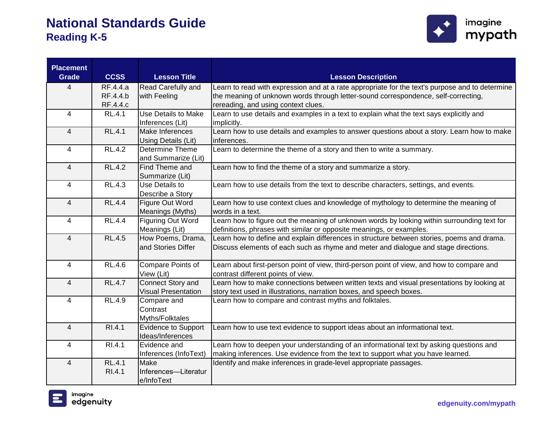

| <b>Placement</b> |                 |                                               |                                                                                                 |
|------------------|-----------------|-----------------------------------------------|-------------------------------------------------------------------------------------------------|
| <b>Grade</b>     | <b>CCSS</b>     | <b>Lesson Title</b>                           | <b>Lesson Description</b>                                                                       |
| 4                | <b>RF.4.4.a</b> | Read Carefully and                            | Learn to read with expression and at a rate appropriate for the text's purpose and to determine |
|                  | RF.4.4.b        | with Feeling                                  | the meaning of unknown words through letter-sound correspondence, self-correcting,              |
|                  | RF 44.c         |                                               | rereading, and using context clues.                                                             |
| $\overline{4}$   | RL.4.1          | Use Details to Make                           | Learn to use details and examples in a text to explain what the text says explicitly and        |
|                  |                 | Inferences (Lit)                              | implicitly.                                                                                     |
| 4                | <b>RL.4.1</b>   | Make Inferences                               | Learn how to use details and examples to answer questions about a story. Learn how to make      |
|                  |                 | Using Details (Lit)                           | inferences.                                                                                     |
| 4                | <b>RL.4.2</b>   | Determine Theme                               | Learn to determine the theme of a story and then to write a summary.                            |
|                  |                 | and Summarize (Lit)                           |                                                                                                 |
| 4                | <b>RL.4.2</b>   | Find Theme and                                | Learn how to find the theme of a story and summarize a story.                                   |
|                  |                 | Summarize (Lit)                               |                                                                                                 |
| 4                | <b>RL.4.3</b>   | Use Details to                                | Learn how to use details from the text to describe characters, settings, and events.            |
|                  |                 | Describe a Story                              |                                                                                                 |
| $\overline{4}$   | <b>RL.4.4</b>   | Figure Out Word                               | Learn how to use context clues and knowledge of mythology to determine the meaning of           |
|                  |                 | Meanings (Myths)                              | words in a text.                                                                                |
| 4                | <b>RL.4.4</b>   | <b>Figuring Out Word</b>                      | Learn how to figure out the meaning of unknown words by looking within surrounding text for     |
|                  |                 | Meanings (Lit)                                | definitions, phrases with similar or opposite meanings, or examples.                            |
| $\overline{4}$   | <b>RL.4.5</b>   | How Poems, Drama,                             | Learn how to define and explain differences in structure between stories, poems and drama.      |
|                  |                 | and Stories Differ                            | Discuss elements of each such as rhyme and meter and dialogue and stage directions.             |
|                  |                 |                                               |                                                                                                 |
| $\overline{4}$   | <b>RL.4.6</b>   | Compare Points of                             | Learn about first-person point of view, third-person point of view, and how to compare and      |
|                  |                 | View (Lit)                                    | contrast different points of view.                                                              |
| $\overline{4}$   | <b>RL.4.7</b>   | Connect Story and                             | Learn how to make connections between written texts and visual presentations by looking at      |
|                  |                 | <b>Visual Presentation</b>                    | story text used in illustrations, narration boxes, and speech boxes.                            |
| 4                | <b>RL.4.9</b>   | Compare and                                   | Learn how to compare and contrast myths and folktales.                                          |
|                  |                 | Contrast                                      |                                                                                                 |
| $\overline{4}$   | RI.4.1          | Myths/Folktales<br><b>Evidence to Support</b> |                                                                                                 |
|                  |                 | Ideas/Inferences                              | Learn how to use text evidence to support ideas about an informational text.                    |
| 4                | RI.4.1          | Evidence and                                  | Learn how to deepen your understanding of an informational text by asking questions and         |
|                  |                 | Inferences (InfoText)                         | making inferences. Use evidence from the text to support what you have learned.                 |
| 4                | <b>RL.4.1</b>   | Make                                          | Identify and make inferences in grade-level appropriate passages.                               |
|                  | RI.4.1          | Inferences-Literatur                          |                                                                                                 |
|                  |                 | e/InfoText                                    |                                                                                                 |
|                  |                 |                                               |                                                                                                 |

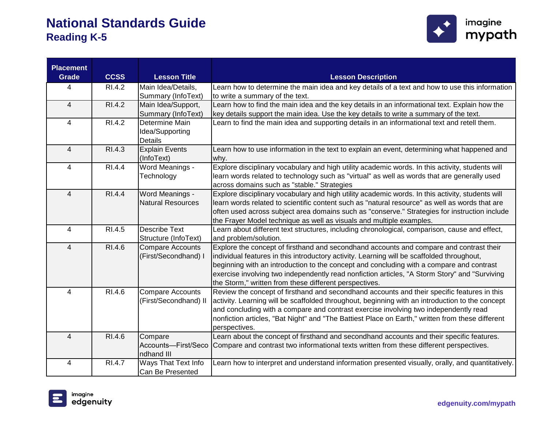

| <b>Placement</b> |                    |                                           |                                                                                                                                                       |
|------------------|--------------------|-------------------------------------------|-------------------------------------------------------------------------------------------------------------------------------------------------------|
| <b>Grade</b>     | <b>CCSS</b>        | <b>Lesson Title</b>                       | <b>Lesson Description</b>                                                                                                                             |
| 4                | R <sub>1.4.2</sub> | Main Idea/Details,                        | Learn how to determine the main idea and key details of a text and how to use this information                                                        |
|                  |                    | Summary (InfoText)                        | to write a summary of the text.                                                                                                                       |
| $\overline{4}$   | RI.4.2             | Main Idea/Support,                        | Learn how to find the main idea and the key details in an informational text. Explain how the                                                         |
|                  |                    | Summary (InfoText)                        | key details support the main idea. Use the key details to write a summary of the text.                                                                |
| 4                | RI.4.2             | Determine Main                            | Learn to find the main idea and supporting details in an informational text and retell them.                                                          |
|                  |                    | Idea/Supporting                           |                                                                                                                                                       |
|                  |                    | <b>Details</b>                            |                                                                                                                                                       |
| $\overline{4}$   | RI.4.3             | <b>Explain Events</b>                     | Learn how to use information in the text to explain an event, determining what happened and                                                           |
|                  |                    | (InfoText)                                | why.                                                                                                                                                  |
| 4                | RI.4.4             | Word Meanings -                           | Explore disciplinary vocabulary and high utility academic words. In this activity, students will                                                      |
|                  |                    | Technology                                | learn words related to technology such as "virtual" as well as words that are generally used                                                          |
|                  |                    |                                           | across domains such as "stable." Strategies                                                                                                           |
| $\overline{4}$   | RI.4.4             | Word Meanings -                           | Explore disciplinary vocabulary and high utility academic words. In this activity, students will                                                      |
|                  |                    | <b>Natural Resources</b>                  | learn words related to scientific content such as "natural resource" as well as words that are                                                        |
|                  |                    |                                           | often used across subject area domains such as "conserve." Strategies for instruction include                                                         |
|                  |                    |                                           | the Frayer Model technique as well as visuals and multiple examples.                                                                                  |
| $\overline{4}$   | RI.4.5             | Describe Text                             | Learn about different text structures, including chronological, comparison, cause and effect,                                                         |
|                  |                    | Structure (InfoText)                      | and problem/solution.                                                                                                                                 |
| $\overline{4}$   | RI.4.6             | Compare Accounts                          | Explore the concept of firsthand and secondhand accounts and compare and contrast their                                                               |
|                  |                    | (First/Secondhand) I                      | individual features in this introductory activity. Learning will be scaffolded throughout,                                                            |
|                  |                    |                                           | beginning with an introduction to the concept and concluding with a compare and contrast                                                              |
|                  |                    |                                           | exercise involving two independently read nonfiction articles, "A Storm Story" and "Surviving                                                         |
| $\overline{4}$   | RI.4.6             |                                           | the Storm," written from these different perspectives.<br>Review the concept of firsthand and secondhand accounts and their specific features in this |
|                  |                    | Compare Accounts<br>(First/Secondhand) II | activity. Learning will be scaffolded throughout, beginning with an introduction to the concept                                                       |
|                  |                    |                                           | and concluding with a compare and contrast exercise involving two independently read                                                                  |
|                  |                    |                                           | nonfiction articles, "Bat Night" and "The Battiest Place on Earth," written from these different                                                      |
|                  |                    |                                           | perspectives.                                                                                                                                         |
| $\overline{4}$   | RI.4.6             | Compare                                   | Learn about the concept of firsthand and secondhand accounts and their specific features.                                                             |
|                  |                    | Accounts-First/Seco                       | Compare and contrast two informational texts written from these different perspectives.                                                               |
|                  |                    | ndhand III                                |                                                                                                                                                       |
| $\overline{4}$   | RI.4.7             | Ways That Text Info                       | Learn how to interpret and understand information presented visually, orally, and quantitatively.                                                     |
|                  |                    | Can Be Presented                          |                                                                                                                                                       |

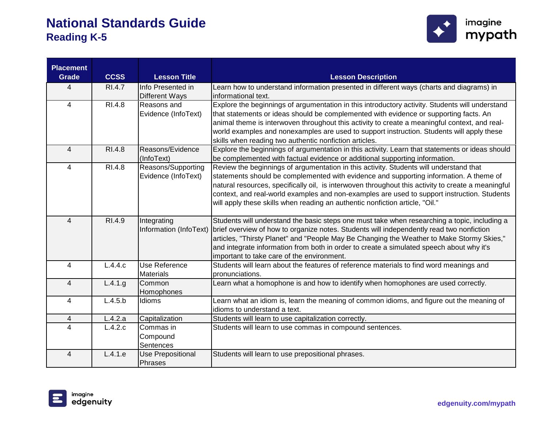

| <b>Placement</b> |                       |                          |                                                                                                    |
|------------------|-----------------------|--------------------------|----------------------------------------------------------------------------------------------------|
| <b>Grade</b>     | <b>CCSS</b>           | <b>Lesson Title</b>      | <b>Lesson Description</b>                                                                          |
| 4                | <b>RI.4.7</b>         | Info Presented in        | Learn how to understand information presented in different ways (charts and diagrams) in           |
|                  |                       | <b>Different Ways</b>    | informational text.                                                                                |
| $\overline{4}$   | RI.4.8                | Reasons and              | Explore the beginnings of argumentation in this introductory activity. Students will understand    |
|                  |                       | Evidence (InfoText)      | that statements or ideas should be complemented with evidence or supporting facts. An              |
|                  |                       |                          | animal theme is interwoven throughout this activity to create a meaningful context, and real-      |
|                  |                       |                          | world examples and nonexamples are used to support instruction. Students will apply these          |
|                  |                       |                          | skills when reading two authentic nonfiction articles.                                             |
| $\overline{4}$   | RI.4.8                | Reasons/Evidence         | Explore the beginnings of argumentation in this activity. Learn that statements or ideas should    |
|                  |                       | (InfoText)               | be complemented with factual evidence or additional supporting information.                        |
| $\overline{4}$   | RI.4.8                | Reasons/Supporting       | Review the beginnings of argumentation in this activity. Students will understand that             |
|                  |                       | Evidence (InfoText)      | statements should be complemented with evidence and supporting information. A theme of             |
|                  |                       |                          | natural resources, specifically oil, is interwoven throughout this activity to create a meaningful |
|                  |                       |                          | context, and real-world examples and non-examples are used to support instruction. Students        |
|                  |                       |                          | will apply these skills when reading an authentic nonfiction article, "Oil."                       |
| $\overline{4}$   | RI.4.9                | Integrating              | Students will understand the basic steps one must take when researching a topic, including a       |
|                  |                       | Information (InfoText)   | brief overview of how to organize notes. Students will independently read two nonfiction           |
|                  |                       |                          | articles, "Thirsty Planet" and "People May Be Changing the Weather to Make Stormy Skies,"          |
|                  |                       |                          | and integrate information from both in order to create a simulated speech about why it's           |
|                  |                       |                          | important to take care of the environment.                                                         |
| $\overline{4}$   | L.4.4.c               | Use Reference            | Students will learn about the features of reference materials to find word meanings and            |
|                  |                       | <b>Materials</b>         | pronunciations.                                                                                    |
| $\overline{4}$   | $\overline{L}$ .4.1.g | Common                   | Learn what a homophone is and how to identify when homophones are used correctly.                  |
|                  |                       | Homophones               |                                                                                                    |
| 4                | L.4.5.b               | Idioms                   | Learn what an idiom is, learn the meaning of common idioms, and figure out the meaning of          |
|                  |                       |                          | idioms to understand a text.                                                                       |
| $\overline{4}$   | L.4.2.a               | Capitalization           | Students will learn to use capitalization correctly.                                               |
| 4                | L.4.2.c               | Commas in                | Students will learn to use commas in compound sentences.                                           |
|                  |                       | Compound                 |                                                                                                    |
|                  |                       | Sentences                |                                                                                                    |
| $\overline{4}$   | L.4.1.e               | <b>Use Prepositional</b> | Students will learn to use prepositional phrases.                                                  |
|                  |                       | Phrases                  |                                                                                                    |

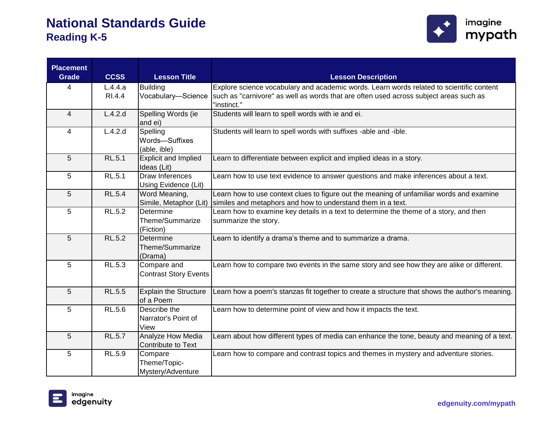

| <b>Placement</b><br><b>Grade</b> | <b>CCSS</b>   | <b>Lesson Title</b>                          | <b>Lesson Description</b>                                                                                                                               |
|----------------------------------|---------------|----------------------------------------------|---------------------------------------------------------------------------------------------------------------------------------------------------------|
| 4                                | L.4.4.a       | <b>Building</b>                              | Explore science vocabulary and academic words. Learn words related to scientific content                                                                |
|                                  | RI.4.4        | Vocabulary-Science                           | such as "carnivore" as well as words that are often used across subject areas such as<br>"instinct."                                                    |
| 4                                | L.4.2.d       | Spelling Words (ie<br>and ei)                | Students will learn to spell words with ie and ei.                                                                                                      |
| 4                                | L.4.2.d       | Spelling<br>Words-Suffixes<br>(able, ible)   | Students will learn to spell words with suffixes -able and -ible.                                                                                       |
| 5                                | RL.5.1        | <b>Explicit and Implied</b><br>Ideas (Lit)   | Learn to differentiate between explicit and implied ideas in a story.                                                                                   |
| 5                                | <b>RL.5.1</b> | Draw Inferences<br>Using Evidence (Lit)      | Learn how to use text evidence to answer questions and make inferences about a text.                                                                    |
| 5                                | <b>RL.5.4</b> | Word Meaning,<br>Simile, Metaphor (Lit)      | Learn how to use context clues to figure out the meaning of unfamiliar words and examine<br>similes and metaphors and how to understand them in a text. |
| 5                                | <b>RL.5.2</b> | Determine<br>Theme/Summarize<br>(Fiction)    | Learn how to examine key details in a text to determine the theme of a story, and then<br>summarize the story.                                          |
| 5                                | RL.5.2        | Determine<br>Theme/Summarize<br>(Drama)      | Learn to identify a drama's theme and to summarize a drama.                                                                                             |
| 5                                | RL.5.3        | Compare and<br><b>Contrast Story Events</b>  | Learn how to compare two events in the same story and see how they are alike or different.                                                              |
| 5                                | <b>RL.5.5</b> | <b>Explain the Structure</b><br>of a Poem    | Learn how a poem's stanzas fit together to create a structure that shows the author's meaning.                                                          |
| 5                                | RL.5.6        | Describe the<br>Narrator's Point of<br>View  | Learn how to determine point of view and how it impacts the text.                                                                                       |
| 5                                | RL.5.7        | Analyze How Media<br>Contribute to Text      | Learn about how different types of media can enhance the tone, beauty and meaning of a text.                                                            |
| 5                                | RL.5.9        | Compare<br>Theme/Topic-<br>Mystery/Adventure | Learn how to compare and contrast topics and themes in mystery and adventure stories.                                                                   |



**edgenuity.com/mypath**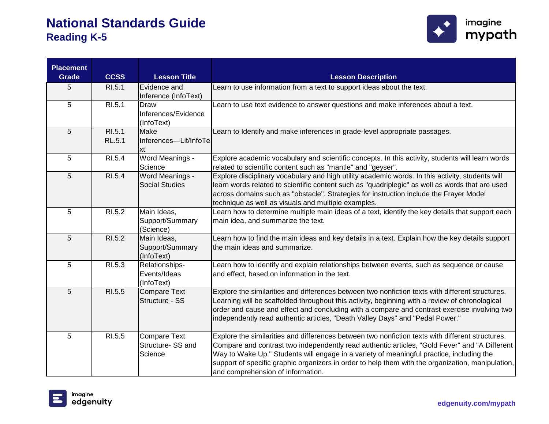

| <b>Placement</b><br><b>Grade</b> | <b>CCSS</b>   | <b>Lesson Title</b>   | <b>Lesson Description</b>                                                                         |
|----------------------------------|---------------|-----------------------|---------------------------------------------------------------------------------------------------|
| 5                                | RI.5.1        | Evidence and          | Learn to use information from a text to support ideas about the text.                             |
|                                  |               | Inference (InfoText)  |                                                                                                   |
| 5                                | RI.5.1        | Draw                  | Learn to use text evidence to answer questions and make inferences about a text.                  |
|                                  |               | Inferences/Evidence   |                                                                                                   |
|                                  |               | (InfoText)            |                                                                                                   |
| 5                                | RI.5.1        | Make                  | Learn to Identify and make inferences in grade-level appropriate passages.                        |
|                                  | <b>RL.5.1</b> | Inferences-Lit/InfoTe |                                                                                                   |
|                                  |               | xt                    |                                                                                                   |
| 5                                | RI.5.4        | Word Meanings -       | Explore academic vocabulary and scientific concepts. In this activity, students will learn words  |
|                                  |               | Science               | related to scientific content such as "mantle" and "geyser".                                      |
| 5                                | RI.5.4        | Word Meanings -       | Explore disciplinary vocabulary and high utility academic words. In this activity, students will  |
|                                  |               | <b>Social Studies</b> | learn words related to scientific content such as "quadriplegic" as well as words that are used   |
|                                  |               |                       | across domains such as "obstacle". Strategies for instruction include the Frayer Model            |
|                                  |               |                       | technique as well as visuals and multiple examples.                                               |
| 5                                | RI.5.2        | Main Ideas,           | Learn how to determine multiple main ideas of a text, identify the key details that support each  |
|                                  |               | Support/Summary       | main idea, and summarize the text.                                                                |
|                                  |               | (Science)             |                                                                                                   |
| 5                                | RI.5.2        | Main Ideas,           | Learn how to find the main ideas and key details in a text. Explain how the key details support   |
|                                  |               | Support/Summary       | the main ideas and summarize.                                                                     |
|                                  |               | (InfoText)            |                                                                                                   |
| 5                                | RI.5.3        | Relationships-        | Learn how to identify and explain relationships between events, such as sequence or cause         |
|                                  |               | Events/Ideas          | and effect, based on information in the text.                                                     |
|                                  |               | (InfoText)            |                                                                                                   |
| 5                                | RI.5.5        | <b>Compare Text</b>   | Explore the similarities and differences between two nonfiction texts with different structures.  |
|                                  |               | Structure - SS        | Learning will be scaffolded throughout this activity, beginning with a review of chronological    |
|                                  |               |                       | order and cause and effect and concluding with a compare and contrast exercise involving two      |
|                                  |               |                       | independently read authentic articles, "Death Valley Days" and "Pedal Power."                     |
| 5                                | RI.5.5        | <b>Compare Text</b>   | Explore the similarities and differences between two nonfiction texts with different structures.  |
|                                  |               | Structure-SS and      | Compare and contrast two independently read authentic articles, "Gold Fever" and "A Different     |
|                                  |               | Science               | Way to Wake Up." Students will engage in a variety of meaningful practice, including the          |
|                                  |               |                       | support of specific graphic organizers in order to help them with the organization, manipulation, |
|                                  |               |                       | and comprehension of information.                                                                 |

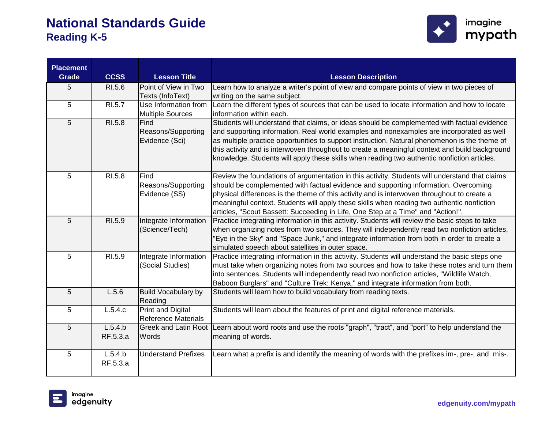

| <b>Placement</b><br><b>Grade</b> | <b>CCSS</b> | <b>Lesson Title</b>         | <b>Lesson Description</b>                                                                                                                                                                    |
|----------------------------------|-------------|-----------------------------|----------------------------------------------------------------------------------------------------------------------------------------------------------------------------------------------|
| 5                                | RI.5.6      | Point of View in Two        | Learn how to analyze a writer's point of view and compare points of view in two pieces of                                                                                                    |
|                                  |             | Texts (InfoText)            | writing on the same subject.                                                                                                                                                                 |
| $5\phantom{.0}$                  | RI.5.7      | Use Information from        | Learn the different types of sources that can be used to locate information and how to locate                                                                                                |
|                                  |             | <b>Multiple Sources</b>     | information within each.                                                                                                                                                                     |
| $5\phantom{.0}$                  | RI.5.8      | Find                        | Students will understand that claims, or ideas should be complemented with factual evidence                                                                                                  |
|                                  |             | Reasons/Supporting          | and supporting information. Real world examples and nonexamples are incorporated as well                                                                                                     |
|                                  |             | Evidence (Sci)              | as multiple practice opportunities to support instruction. Natural phenomenon is the theme of                                                                                                |
|                                  |             |                             | this activity and is interwoven throughout to create a meaningful context and build background                                                                                               |
|                                  |             |                             | knowledge. Students will apply these skills when reading two authentic nonfiction articles.                                                                                                  |
| 5                                | RI.5.8      | Find                        | Review the foundations of argumentation in this activity. Students will understand that claims                                                                                               |
|                                  |             | Reasons/Supporting          | should be complemented with factual evidence and supporting information. Overcoming                                                                                                          |
|                                  |             | Evidence (SS)               | physical differences is the theme of this activity and is interwoven throughout to create a                                                                                                  |
|                                  |             |                             | meaningful context. Students will apply these skills when reading two authentic nonfiction                                                                                                   |
|                                  |             |                             | articles, "Scout Bassett: Succeeding in Life, One Step at a Time" and "Action!".                                                                                                             |
| 5                                | RI.5.9      | Integrate Information       | Practice integrating information in this activity. Students will review the basic steps to take                                                                                              |
|                                  |             | (Science/Tech)              | when organizing notes from two sources. They will independently read two nonfiction articles,<br>'Eye in the Sky" and "Space Junk," and integrate information from both in order to create a |
|                                  |             |                             | simulated speech about satellites in outer space.                                                                                                                                            |
| 5                                | RI.5.9      | Integrate Information       | Practice integrating information in this activity. Students will understand the basic steps one                                                                                              |
|                                  |             | (Social Studies)            | must take when organizing notes from two sources and how to take these notes and turn them                                                                                                   |
|                                  |             |                             | into sentences. Students will independently read two nonfiction articles, "Wildlife Watch,                                                                                                   |
|                                  |             |                             | Baboon Burglars" and "Culture Trek: Kenya," and integrate information from both.                                                                                                             |
| 5                                | L.5.6       | <b>Build Vocabulary by</b>  | Students will learn how to build vocabulary from reading texts.                                                                                                                              |
|                                  |             | Reading                     |                                                                                                                                                                                              |
| 5                                | L.5.4.c     | <b>Print and Digital</b>    | Students will learn about the features of print and digital reference materials.                                                                                                             |
|                                  |             | <b>Reference Materials</b>  |                                                                                                                                                                                              |
| 5                                | L.5.4.b     | <b>Greek and Latin Root</b> | Learn about word roots and use the roots "graph", "tract", and "port" to help understand the                                                                                                 |
|                                  | RF.5.3.a    | Words                       | meaning of words.                                                                                                                                                                            |
| 5                                | L.5.4.b     | <b>Understand Prefixes</b>  | Learn what a prefix is and identify the meaning of words with the prefixes im-, pre-, and mis-.                                                                                              |
|                                  | RF.5.3.a    |                             |                                                                                                                                                                                              |
|                                  |             |                             |                                                                                                                                                                                              |